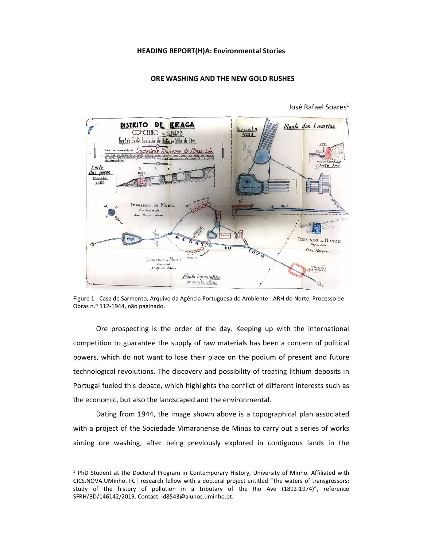## HEADING REPORT(H)A: Environmental Stories

## ORE WASHING AND THE NEW GOLD RUSHES



José Rafael Soares<sup>1</sup>

Figure 1 - Casa de Sarmento, Arquivo da Agência Portuguesa do Ambiente - ARH do Norte, Processo de Obras n.º 112-1944, não paginado.

Ore prospecting is the order of the day. Keeping up with the international competition to guarantee the supply of raw materials has been a concern of political powers, which do not want to lose their place on the podium of present and future technological revolutions. The discovery and possibility of treating lithium deposits in Portugal fueled this debate, which highlights the conflict of different interests such as the economic, but also the landscaped and the environmental.

Dating from 1944, the image shown above is a topographical plan associated with a project of the Sociedade Vimaranense de Minas to carry out a series of works aiming ore washing, after being previously explored in contiguous lands in the

 <sup>1</sup> PhD Student at the Doctoral Program in Contemporary History, University of Minho. Affiliated with CICS.NOVA.UMinho. FCT research fellow with a doctoral project entitled "The waters of transgressors: study of the history of pollution in a tributary of the Rio Ave (1892-1974)", reference SFRH/BD/146142/2019. Contact: id8543@alunos.uminho.pt.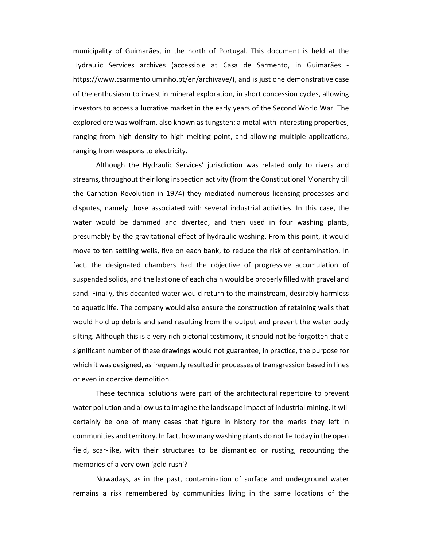municipality of Guimarães, in the north of Portugal. This document is held at the Hydraulic Services archives (accessible at Casa de Sarmento, in Guimarães https://www.csarmento.uminho.pt/en/archivave/), and is just one demonstrative case of the enthusiasm to invest in mineral exploration, in short concession cycles, allowing investors to access a lucrative market in the early years of the Second World War. The explored ore was wolfram, also known as tungsten: a metal with interesting properties, ranging from high density to high melting point, and allowing multiple applications, ranging from weapons to electricity.

Although the Hydraulic Services' jurisdiction was related only to rivers and streams, throughout their long inspection activity (from the Constitutional Monarchy till the Carnation Revolution in 1974) they mediated numerous licensing processes and disputes, namely those associated with several industrial activities. In this case, the water would be dammed and diverted, and then used in four washing plants, presumably by the gravitational effect of hydraulic washing. From this point, it would move to ten settling wells, five on each bank, to reduce the risk of contamination. In fact, the designated chambers had the objective of progressive accumulation of suspended solids, and the last one of each chain would be properly filled with gravel and sand. Finally, this decanted water would return to the mainstream, desirably harmless to aquatic life. The company would also ensure the construction of retaining walls that would hold up debris and sand resulting from the output and prevent the water body silting. Although this is a very rich pictorial testimony, it should not be forgotten that a significant number of these drawings would not guarantee, in practice, the purpose for which it was designed, as frequently resulted in processes of transgression based in fines or even in coercive demolition.

These technical solutions were part of the architectural repertoire to prevent water pollution and allow us to imagine the landscape impact of industrial mining. It will certainly be one of many cases that figure in history for the marks they left in communities and territory. In fact, how many washing plants do not lie today in the open field, scar-like, with their structures to be dismantled or rusting, recounting the memories of a very own 'gold rush'?

Nowadays, as in the past, contamination of surface and underground water remains a risk remembered by communities living in the same locations of the